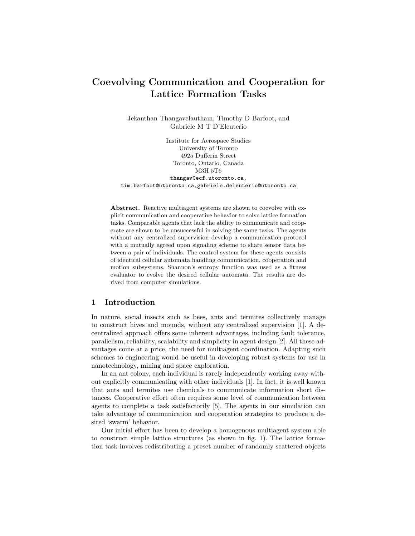# Coevolving Communication and Cooperation for Lattice Formation Tasks

Jekanthan Thangavelautham, Timothy D Barfoot, and Gabriele M T D'Eleuterio

Institute for Aerospace Studies University of Toronto 4925 Dufferin Street Toronto, Ontario, Canada M3H 5T6 thangav@ecf.utoronto.ca, tim.barfoot@utoronto.ca,gabriele.deleuterio@utoronto.ca

Abstract. Reactive multiagent systems are shown to coevolve with explicit communication and cooperative behavior to solve lattice formation tasks. Comparable agents that lack the ability to communicate and cooperate are shown to be unsuccessful in solving the same tasks. The agents without any centralized supervision develop a communication protocol with a mutually agreed upon signaling scheme to share sensor data between a pair of individuals. The control system for these agents consists of identical cellular automata handling communication, cooperation and motion subsystems. Shannon's entropy function was used as a fitness evaluator to evolve the desired cellular automata. The results are derived from computer simulations.

# 1 Introduction

In nature, social insects such as bees, ants and termites collectively manage to construct hives and mounds, without any centralized supervision [1]. A decentralized approach offers some inherent advantages, including fault tolerance, parallelism, reliability, scalability and simplicity in agent design [2]. All these advantages come at a price, the need for multiagent coordination. Adapting such schemes to engineering would be useful in developing robust systems for use in nanotechnology, mining and space exploration.

In an ant colony, each individual is rarely independently working away without explicitly communicating with other individuals [1]. In fact, it is well known that ants and termites use chemicals to communicate information short distances. Cooperative effort often requires some level of communication between agents to complete a task satisfactorily [5]. The agents in our simulation can take advantage of communication and cooperation strategies to produce a desired 'swarm' behavior.

Our initial effort has been to develop a homogenous multiagent system able to construct simple lattice structures (as shown in fig. 1). The lattice formation task involves redistributing a preset number of randomly scattered objects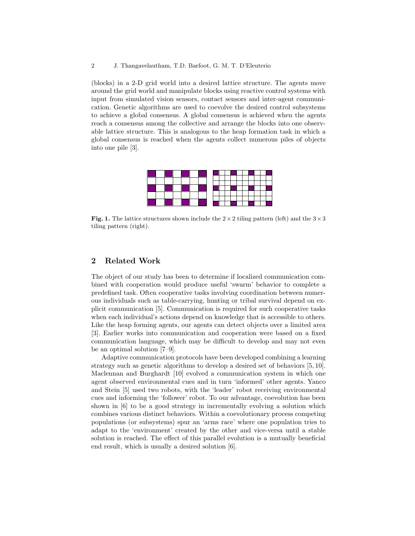(blocks) in a 2-D grid world into a desired lattice structure. The agents move around the grid world and manipulate blocks using reactive control systems with input from simulated vision sensors, contact sensors and inter-agent communication. Genetic algorithms are used to coevolve the desired control subsystems to achieve a global consensus. A global consensus is achieved when the agents reach a consensus among the collective and arrange the blocks into one observable lattice structure. This is analogous to the heap formation task in which a global consensus is reached when the agents collect numerous piles of objects into one pile [3].



Fig. 1. The lattice structures shown include the  $2 \times 2$  tiling pattern (left) and the  $3 \times 3$ tiling pattern (right).

# 2 Related Work

The object of our study has been to determine if localized communication combined with cooperation would produce useful 'swarm' behavior to complete a predefined task. Often cooperative tasks involving coordination between numerous individuals such as table-carrying, hunting or tribal survival depend on explicit communication [5]. Communication is required for such cooperative tasks when each individual's actions depend on knowledge that is accessible to others. Like the heap forming agents, our agents can detect objects over a limited area [3]. Earlier works into communication and cooperation were based on a fixed communication language, which may be difficult to develop and may not even be an optimal solution [7–9].

Adaptive communication protocols have been developed combining a learning strategy such as genetic algorithms to develop a desired set of behaviors [5, 10]. Maclennan and Burghardt [10] evolved a communication system in which one agent observed environmental cues and in turn 'informed' other agents. Yanco and Stein [5] used two robots, with the 'leader' robot receiving environmental cues and informing the 'follower' robot. To our advantage, coevolution has been shown in [6] to be a good strategy in incrementally evolving a solution which combines various distinct behaviors. Within a coevolutionary process competing populations (or subsystems) spur an 'arms race' where one population tries to adapt to the 'environment' created by the other and vice-versa until a stable solution is reached. The effect of this parallel evolution is a mutually beneficial end result, which is usually a desired solution [6].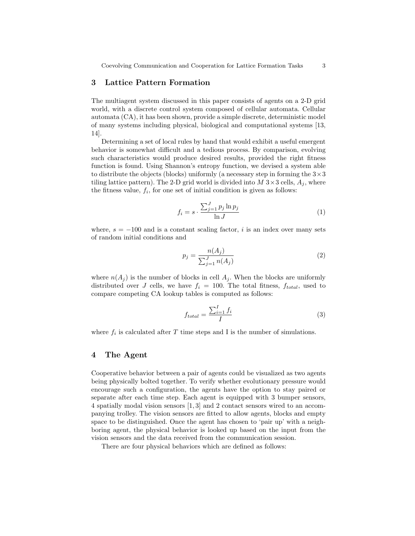# 3 Lattice Pattern Formation

The multiagent system discussed in this paper consists of agents on a 2-D grid world, with a discrete control system composed of cellular automata. Cellular automata (CA), it has been shown, provide a simple discrete, deterministic model of many systems including physical, biological and computational systems [13, 14].

Determining a set of local rules by hand that would exhibit a useful emergent behavior is somewhat difficult and a tedious process. By comparison, evolving such characteristics would produce desired results, provided the right fitness function is found. Using Shannon's entropy function, we devised a system able to distribute the objects (blocks) uniformly (a necessary step in forming the  $3 \times 3$ tiling lattice pattern). The 2-D grid world is divided into  $M$  3  $\times$  3 cells,  $A_i$ , where the fitness value,  $f_i$ , for one set of initial condition is given as follows:

$$
f_i = s \cdot \frac{\sum_{j=1}^{J} p_j \ln p_j}{\ln J} \tag{1}
$$

where,  $s = -100$  and is a constant scaling factor, i is an index over many sets of random initial conditions and

$$
p_j = \frac{n(A_j)}{\sum_{j=1}^{J} n(A_j)}
$$
(2)

where  $n(A_j)$  is the number of blocks in cell  $A_j$ . When the blocks are uniformly distributed over J cells, we have  $f_i = 100$ . The total fitness,  $f_{total}$ , used to compare competing CA lookup tables is computed as follows:

$$
f_{total} = \frac{\sum_{i=1}^{I} f_i}{I} \tag{3}
$$

where  $f_i$  is calculated after T time steps and I is the number of simulations.

#### 4 The Agent

Cooperative behavior between a pair of agents could be visualized as two agents being physically bolted together. To verify whether evolutionary pressure would encourage such a configuration, the agents have the option to stay paired or separate after each time step. Each agent is equipped with 3 bumper sensors, 4 spatially modal vision sensors [1, 3] and 2 contact sensors wired to an accompanying trolley. The vision sensors are fitted to allow agents, blocks and empty space to be distinguished. Once the agent has chosen to 'pair up' with a neighboring agent, the physical behavior is looked up based on the input from the vision sensors and the data received from the communication session.

There are four physical behaviors which are defined as follows: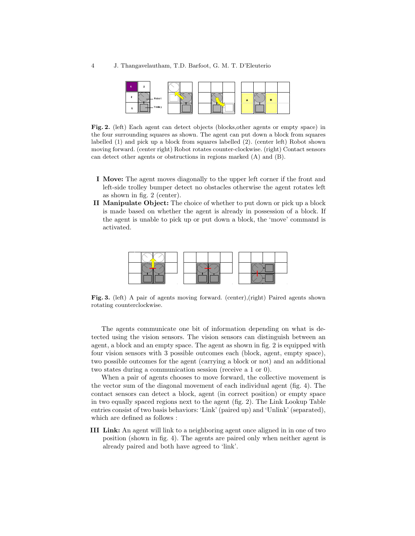

Fig. 2. (left) Each agent can detect objects (blocks,other agents or empty space) in the four surrounding squares as shown. The agent can put down a block from squares labelled (1) and pick up a block from squares labelled (2). (center left) Robot shown moving forward. (center right) Robot rotates counter-clockwise. (right) Contact sensors can detect other agents or obstructions in regions marked (A) and (B).

- I Move: The agent moves diagonally to the upper left corner if the front and left-side trolley bumper detect no obstacles otherwise the agent rotates left as shown in fig. 2 (center).
- II Manipulate Object: The choice of whether to put down or pick up a block is made based on whether the agent is already in possession of a block. If the agent is unable to pick up or put down a block, the 'move' command is activated.



Fig. 3. (left) A pair of agents moving forward. (center),(right) Paired agents shown rotating counterclockwise.

The agents communicate one bit of information depending on what is detected using the vision sensors. The vision sensors can distinguish between an agent, a block and an empty space. The agent as shown in fig. 2 is equipped with four vision sensors with 3 possible outcomes each (block, agent, empty space), two possible outcomes for the agent (carrying a block or not) and an additional two states during a communication session (receive a 1 or 0).

When a pair of agents chooses to move forward, the collective movement is the vector sum of the diagonal movement of each individual agent (fig. 4). The contact sensors can detect a block, agent (in correct position) or empty space in two equally spaced regions next to the agent (fig. 2). The Link Lookup Table entries consist of two basis behaviors: 'Link' (paired up) and 'Unlink' (separated), which are defined as follows :

III Link: An agent will link to a neighboring agent once aligned in in one of two position (shown in fig. 4). The agents are paired only when neither agent is already paired and both have agreed to 'link'.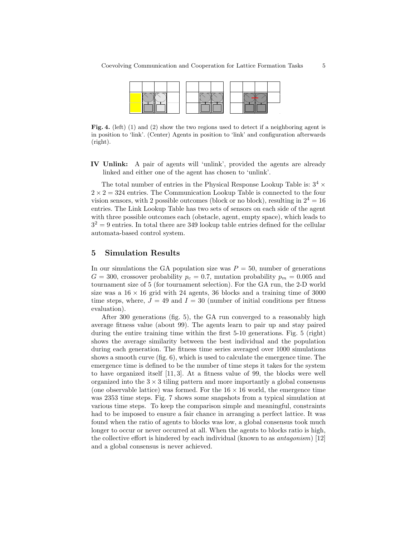

Fig. 4. (left) (1) and (2) show the two regions used to detect if a neighboring agent is in position to 'link'. (Center) Agents in position to 'link' and configuration afterwards (right).

IV Unlink: A pair of agents will 'unlink', provided the agents are already linked and either one of the agent has chosen to 'unlink'.

The total number of entries in the Physical Response Lookup Table is:  $3^4 \times$  $2 \times 2 = 324$  entries. The Communication Lookup Table is connected to the four vision sensors, with 2 possible outcomes (block or no block), resulting in  $2^4 = 16$ entries. The Link Lookup Table has two sets of sensors on each side of the agent with three possible outcomes each (obstacle, agent, empty space), which leads to  $3<sup>2</sup> = 9$  entries. In total there are 349 lookup table entries defined for the cellular automata-based control system.

# 5 Simulation Results

In our simulations the GA population size was  $P = 50$ , number of generations  $G = 300$ , crossover probability  $p_c = 0.7$ , mutation probability  $p_m = 0.005$  and tournament size of 5 (for tournament selection). For the GA run, the 2-D world size was a  $16 \times 16$  grid with 24 agents, 36 blocks and a training time of 3000 time steps, where,  $J = 49$  and  $I = 30$  (number of initial conditions per fitness evaluation).

After 300 generations (fig. 5), the GA run converged to a reasonably high average fitness value (about 99). The agents learn to pair up and stay paired during the entire training time within the first 5-10 generations. Fig. 5 (right) shows the average similarity between the best individual and the population during each generation. The fitness time series averaged over 1000 simulations shows a smooth curve (fig. 6), which is used to calculate the emergence time. The emergence time is defined to be the number of time steps it takes for the system to have organized itself [11, 3]. At a fitness value of 99, the blocks were well organized into the  $3 \times 3$  tiling pattern and more importantly a global consensus (one observable lattice) was formed. For the  $16 \times 16$  world, the emergence time was 2353 time steps. Fig. 7 shows some snapshots from a typical simulation at various time steps. To keep the comparison simple and meaningful, constraints had to be imposed to ensure a fair chance in arranging a perfect lattice. It was found when the ratio of agents to blocks was low, a global consensus took much longer to occur or never occurred at all. When the agents to blocks ratio is high, the collective effort is hindered by each individual (known to as antagonism) [12] and a global consensus is never achieved.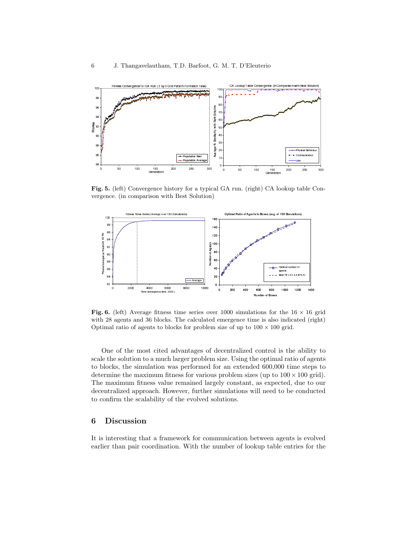

Fig. 5. (left) Convergence history for a typical GA run. (right) CA lookup table Convergence. (in comparison with Best Solution)



Fig. 6. (left) Average fitness time series over 1000 simulations for the  $16 \times 16$  grid with 28 agents and 36 blocks. The calculated emergence time is also indicated (right) Optimal ratio of agents to blocks for problem size of up to  $100 \times 100$  grid.

One of the most cited advantages of decentralized control is the ability to scale the solution to a much larger problem size. Using the optimal ratio of agents to blocks, the simulation was performed for an extended 600,000 time steps to determine the maximum fitness for various problem sizes (up to  $100 \times 100$  grid). The maximum fitness value remained largely constant, as expected, due to our decentralized approach. However, further simulations will need to be conducted to confirm the scalability of the evolved solutions.

# 6 Discussion

It is interesting that a framework for communication between agents is evolved earlier than pair coordination. With the number of lookup table entries for the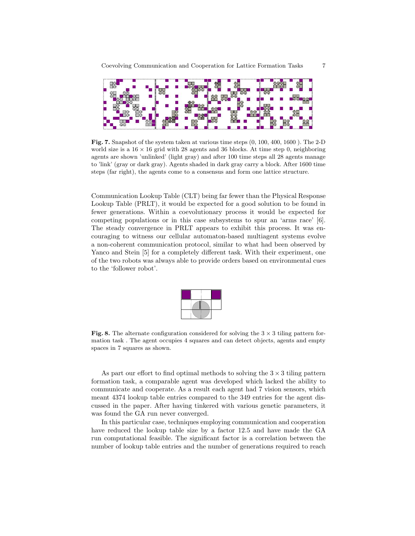

Fig. 7. Snapshot of the system taken at various time steps (0, 100, 400, 1600 ). The 2-D world size is a  $16 \times 16$  grid with 28 agents and 36 blocks. At time step 0, neighboring agents are shown 'unlinked' (light gray) and after 100 time steps all 28 agents manage to 'link' (gray or dark gray). Agents shaded in dark gray carry a block. After 1600 time steps (far right), the agents come to a consensus and form one lattice structure.

Communication Lookup Table (CLT) being far fewer than the Physical Response Lookup Table (PRLT), it would be expected for a good solution to be found in fewer generations. Within a coevolutionary process it would be expected for competing populations or in this case subsystems to spur an 'arms race' [6]. The steady convergence in PRLT appears to exhibit this process. It was encouraging to witness our cellular automaton-based multiagent systems evolve a non-coherent communication protocol, similar to what had been observed by Yanco and Stein [5] for a completely different task. With their experiment, one of the two robots was always able to provide orders based on environmental cues to the 'follower robot'.



Fig. 8. The alternate configuration considered for solving the  $3 \times 3$  tiling pattern formation task . The agent occupies 4 squares and can detect objects, agents and empty spaces in 7 squares as shown.

As part our effort to find optimal methods to solving the  $3 \times 3$  tiling pattern formation task, a comparable agent was developed which lacked the ability to communicate and cooperate. As a result each agent had 7 vision sensors, which meant 4374 lookup table entries compared to the 349 entries for the agent discussed in the paper. After having tinkered with various genetic parameters, it was found the GA run never converged.

In this particular case, techniques employing communication and cooperation have reduced the lookup table size by a factor 12.5 and have made the GA run computational feasible. The significant factor is a correlation between the number of lookup table entries and the number of generations required to reach